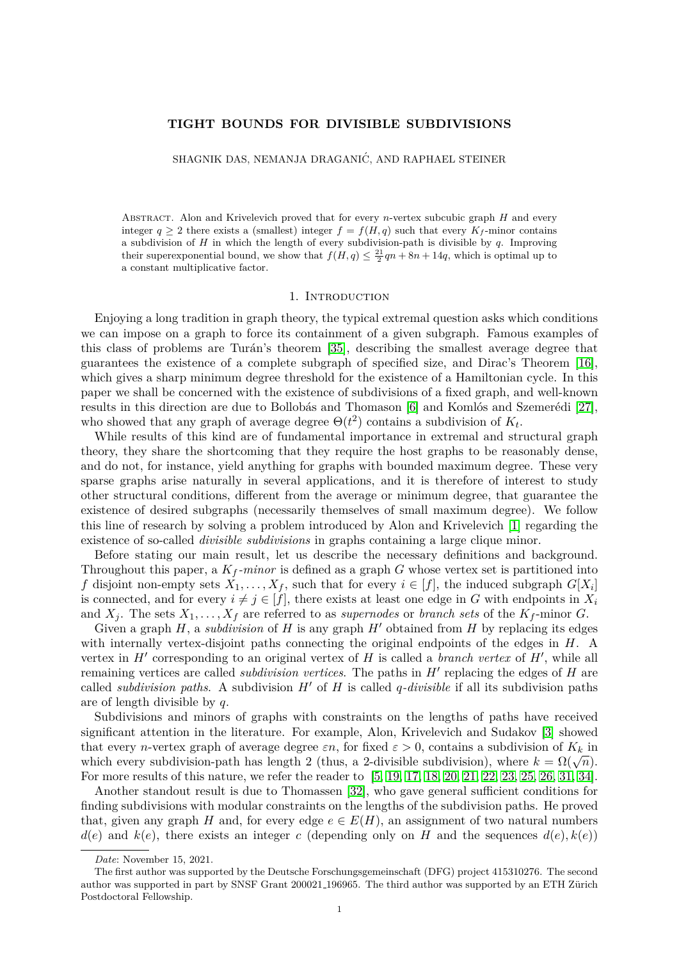### **TIGHT BOUNDS FOR DIVISIBLE SUBDIVISIONS**

SHAGNIK DAS, NEMANJA DRAGANIĆ, AND RAPHAEL STEINER

Abstract. Alon and Krivelevich proved that for every *n*-vertex subcubic graph *H* and every integer  $q > 2$  there exists a (smallest) integer  $f = f(H, q)$  such that every  $K_f$ -minor contains a subdivision of *H* in which the length of every subdivision-path is divisible by *q*. Improving their superexponential bound, we show that  $f(H, q) \leq \frac{21}{2}qn + 8n + 14q$ , which is optimal up to a constant multiplicative factor.

#### 1. INTRODUCTION

Enjoying a long tradition in graph theory, the typical extremal question asks which conditions we can impose on a graph to force its containment of a given subgraph. Famous examples of this class of problems are Turán's theorem [\[35\]](#page-12-0), describing the smallest average degree that guarantees the existence of a complete subgraph of specified size, and Dirac's Theorem [\[16\]](#page-12-1), which gives a sharp minimum degree threshold for the existence of a Hamiltonian cycle. In this paper we shall be concerned with the existence of subdivisions of a fixed graph, and well-known results in this direction are due to Bollobás and Thomason [\[6\]](#page-11-0) and Komlós and Szemerédi [\[27\]](#page-12-2), who showed that any graph of average degree  $\Theta(t^2)$  contains a subdivision of  $K_t$ .

While results of this kind are of fundamental importance in extremal and structural graph theory, they share the shortcoming that they require the host graphs to be reasonably dense, and do not, for instance, yield anything for graphs with bounded maximum degree. These very sparse graphs arise naturally in several applications, and it is therefore of interest to study other structural conditions, different from the average or minimum degree, that guarantee the existence of desired subgraphs (necessarily themselves of small maximum degree). We follow this line of research by solving a problem introduced by Alon and Krivelevich [\[1\]](#page-11-1) regarding the existence of so-called *divisible subdivisions* in graphs containing a large clique minor.

Before stating our main result, let us describe the necessary definitions and background. Throughout this paper, a  $K_f$ -minor is defined as a graph  $G$  whose vertex set is partitioned into *f* disjoint non-empty sets  $X_1, \ldots, X_f$ , such that for every  $i \in [f]$ , the induced subgraph  $G[X_i]$ is connected, and for every  $i \neq j \in [f]$ , there exists at least one edge in *G* with endpoints in  $X_i$ and  $X_j$ . The sets  $X_1, \ldots, X_f$  are referred to as *supernodes* or *branch sets* of the  $K_f$ -minor *G*.

Given a graph  $H$ , a *subdivision* of  $H$  is any graph  $H'$  obtained from  $H$  by replacing its edges with internally vertex-disjoint paths connecting the original endpoints of the edges in *H*. A vertex in  $H'$  corresponding to an original vertex of  $H$  is called a *branch vertex* of  $H'$ , while all remaining vertices are called *subdivision vertices*. The paths in  $H'$  replacing the edges of  $H$  are called *subdivision paths*. A subdivision  $H'$  of  $H$  is called *q-divisible* if all its subdivision paths are of length divisible by *q*.

Subdivisions and minors of graphs with constraints on the lengths of paths have received significant attention in the literature. For example, Alon, Krivelevich and Sudakov [\[3\]](#page-11-2) showed that every *n*-vertex graph of average degree  $\varepsilon n$ , for fixed  $\varepsilon > 0$ , contains a subdivision of  $K_k$  in which every *n*-vertex graph of average degree  $\varepsilon n$ , for fixed  $\varepsilon > 0$ , contains a subdivision of  $\mathbb{R}_k$  in which every subdivision-path has length 2 (thus, a 2-divisible subdivision), where  $k = \Omega(\sqrt{n})$ . For more results of this nature, we refer the reader to [\[5,](#page-11-3) [19,](#page-12-3) [17,](#page-12-4) [18,](#page-12-5) [20,](#page-12-6) [21,](#page-12-7) [22,](#page-12-8) [23,](#page-12-9) [25,](#page-12-10) [26,](#page-12-11) [31,](#page-12-12) [34\]](#page-12-13).

Another standout result is due to Thomassen [\[32\]](#page-12-14), who gave general sufficient conditions for finding subdivisions with modular constraints on the lengths of the subdivision paths. He proved that, given any graph *H* and, for every edge  $e \in E(H)$ , an assignment of two natural numbers  $d(e)$  and  $k(e)$ , there exists an integer *c* (depending only on *H* and the sequences  $d(e), k(e)$ )

*Date*: November 15, 2021.

The first author was supported by the Deutsche Forschungsgemeinschaft (DFG) project 415310276. The second author was supported in part by SNSF Grant 200021 196965. The third author was supported by an ETH Zürich Postdoctoral Fellowship.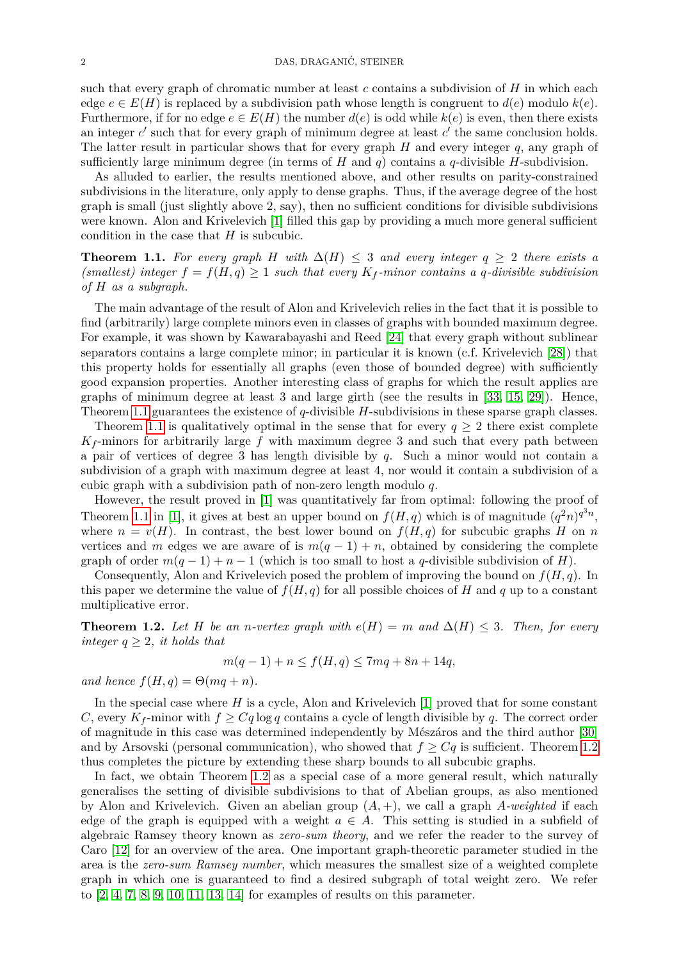such that every graph of chromatic number at least *c* contains a subdivision of *H* in which each edge  $e \in E(H)$  is replaced by a subdivision path whose length is congruent to  $d(e)$  modulo  $k(e)$ . Furthermore, if for no edge  $e \in E(H)$  the number  $d(e)$  is odd while  $k(e)$  is even, then there exists an integer  $c'$  such that for every graph of minimum degree at least  $c'$  the same conclusion holds. The latter result in particular shows that for every graph *H* and every integer *q*, any graph of sufficiently large minimum degree (in terms of  $H$  and  $q$ ) contains a  $q$ -divisible  $H$ -subdivision.

As alluded to earlier, the results mentioned above, and other results on parity-constrained subdivisions in the literature, only apply to dense graphs. Thus, if the average degree of the host graph is small (just slightly above 2, say), then no sufficient conditions for divisible subdivisions were known. Alon and Krivelevich [\[1\]](#page-11-1) filled this gap by providing a much more general sufficient condition in the case that *H* is subcubic.

<span id="page-1-0"></span>**Theorem 1.1.** For every graph *H* with  $\Delta(H) \leq 3$  and every integer  $q \geq 2$  there exists a (smallest) integer  $f = f(H, q) \geq 1$  *such that every*  $K_f$ -minor contains a q-divisible subdivision *of H as a subgraph.*

The main advantage of the result of Alon and Krivelevich relies in the fact that it is possible to find (arbitrarily) large complete minors even in classes of graphs with bounded maximum degree. For example, it was shown by Kawarabayashi and Reed [\[24\]](#page-12-15) that every graph without sublinear separators contains a large complete minor; in particular it is known (c.f. Krivelevich [\[28\]](#page-12-16)) that this property holds for essentially all graphs (even those of bounded degree) with sufficiently good expansion properties. Another interesting class of graphs for which the result applies are graphs of minimum degree at least 3 and large girth (see the results in [\[33,](#page-12-17) [15,](#page-12-18) [29\]](#page-12-19)). Hence, Theorem [1.1](#page-1-0) guarantees the existence of *q*-divisible *H*-subdivisions in these sparse graph classes.

Theorem [1.1](#page-1-0) is qualitatively optimal in the sense that for every  $q \geq 2$  there exist complete  $K_f$ -minors for arbitrarily large  $f$  with maximum degree 3 and such that every path between a pair of vertices of degree 3 has length divisible by *q*. Such a minor would not contain a subdivision of a graph with maximum degree at least 4, nor would it contain a subdivision of a cubic graph with a subdivision path of non-zero length modulo *q*.

However, the result proved in [\[1\]](#page-11-1) was quantitatively far from optimal: following the proof of Theorem [1.1](#page-1-0) in [\[1\]](#page-11-1), it gives at best an upper bound on  $f(H, q)$  which is of magnitude  $(q^2n)^{q^3n}$ , where  $n = v(H)$ . In contrast, the best lower bound on  $f(H, q)$  for subcubic graphs *H* on *n* vertices and *m* edges we are aware of is  $m(q-1) + n$ , obtained by considering the complete graph of order  $m(q-1) + n - 1$  (which is too small to host a *q*-divisible subdivision of *H*).

Consequently, Alon and Krivelevich posed the problem of improving the bound on *f*(*H, q*). In this paper we determine the value of  $f(H, q)$  for all possible choices of *H* and *q* up to a constant multiplicative error.

<span id="page-1-1"></span>**Theorem 1.2.** Let H be an *n*-vertex graph with  $e(H) = m$  and  $\Delta(H) \leq 3$ . Then, for every *integer*  $q \geq 2$ *, it holds that* 

$$
m(q-1) + n \le f(H, q) \le 7mq + 8n + 14q,
$$

*and hence*  $f(H, q) = \Theta(mq + n)$ *.* 

In the special case where *H* is a cycle, Alon and Krivelevich [\[1\]](#page-11-1) proved that for some constant *C*, every  $K_f$ -minor with  $f \geq C_g \log q$  contains a cycle of length divisible by q. The correct order of magnitude in this case was determined independently by Mészáros and the third author [\[30\]](#page-12-20) and by Arsovski (personal communication), who showed that  $f \geq Cq$  is sufficient. Theorem [1.2](#page-1-1) thus completes the picture by extending these sharp bounds to all subcubic graphs.

In fact, we obtain Theorem [1.2](#page-1-1) as a special case of a more general result, which naturally generalises the setting of divisible subdivisions to that of Abelian groups, as also mentioned by Alon and Krivelevich. Given an abelian group  $(A, +)$ , we call a graph A-weighted if each edge of the graph is equipped with a weight  $a \in A$ . This setting is studied in a subfield of algebraic Ramsey theory known as *zero-sum theory*, and we refer the reader to the survey of Caro [\[12\]](#page-11-4) for an overview of the area. One important graph-theoretic parameter studied in the area is the *zero-sum Ramsey number*, which measures the smallest size of a weighted complete graph in which one is guaranteed to find a desired subgraph of total weight zero. We refer to  $[2, 4, 7, 8, 9, 10, 11, 13, 14]$  $[2, 4, 7, 8, 9, 10, 11, 13, 14]$  $[2, 4, 7, 8, 9, 10, 11, 13, 14]$  $[2, 4, 7, 8, 9, 10, 11, 13, 14]$  $[2, 4, 7, 8, 9, 10, 11, 13, 14]$  $[2, 4, 7, 8, 9, 10, 11, 13, 14]$  $[2, 4, 7, 8, 9, 10, 11, 13, 14]$  $[2, 4, 7, 8, 9, 10, 11, 13, 14]$  $[2, 4, 7, 8, 9, 10, 11, 13, 14]$  for examples of results on this parameter.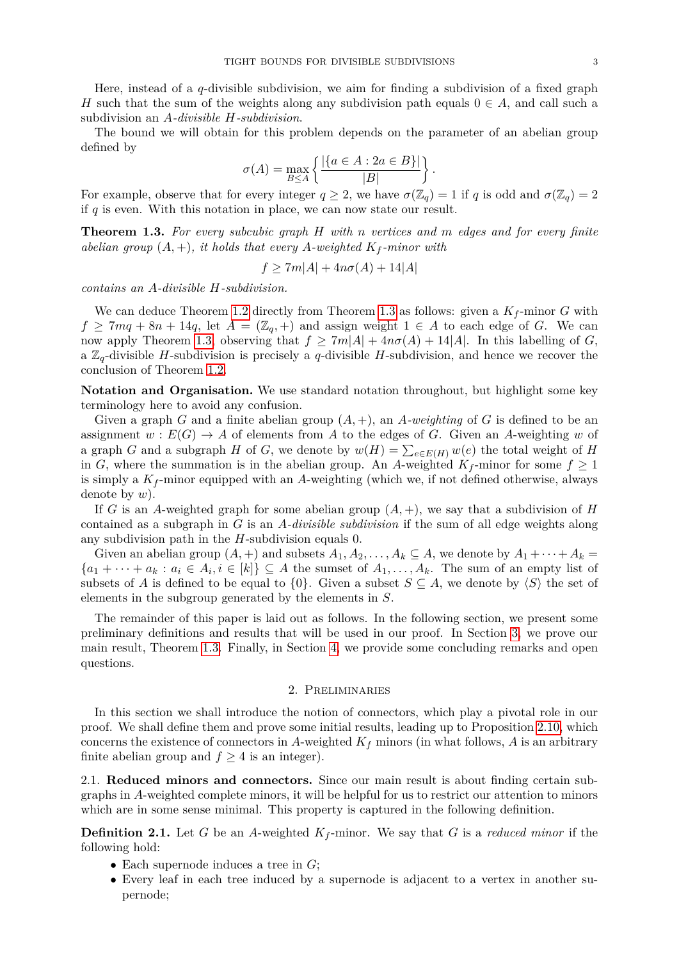Here, instead of a *q*-divisible subdivision, we aim for finding a subdivision of a fixed graph *H* such that the sum of the weights along any subdivision path equals  $0 \in A$ , and call such a subdivision an *A-divisible H-subdivision*.

The bound we will obtain for this problem depends on the parameter of an abelian group defined by

$$
\sigma(A) = \max_{B \le A} \left\{ \frac{|\{a \in A : 2a \in B\}|}{|B|} \right\}.
$$

For example, observe that for every integer  $q \geq 2$ , we have  $\sigma(\mathbb{Z}_q) = 1$  if *q* is odd and  $\sigma(\mathbb{Z}_q) = 2$ if *q* is even. With this notation in place, we can now state our result.

<span id="page-2-0"></span>**Theorem 1.3.** *For every subcubic graph H with n vertices and m edges and for every finite abelian group*  $(A, +)$ *, it holds that every A-weighted*  $K_f$ *-minor with* 

$$
f \ge 7m|A| + 4n\sigma(A) + 14|A|
$$

*contains an A-divisible H-subdivision.*

We can deduce Theorem [1.2](#page-1-1) directly from Theorem [1.3](#page-2-0) as follows: given a  $K_f$ -minor  $G$  with  $f \geq 7mq + 8n + 14q$ , let  $A = (\mathbb{Z}_q, +)$  and assign weight  $1 \in A$  to each edge of *G*. We can now apply Theorem [1.3,](#page-2-0) observing that  $f \geq 7m|A| + 4n\sigma(A) + 14|A|$ . In this labelling of *G*, a  $\mathbb{Z}_q$ -divisible *H*-subdivision is precisely a *q*-divisible *H*-subdivision, and hence we recover the conclusion of Theorem [1.2.](#page-1-1)

**Notation and Organisation.** We use standard notation throughout, but highlight some key terminology here to avoid any confusion.

Given a graph *G* and a finite abelian group  $(A, +)$ , an *A*-weighting of *G* is defined to be an assignment  $w : E(G) \to A$  of elements from A to the edges of G. Given an A-weighting w of a graph *G* and a subgraph *H* of *G*, we denote by  $w(H) = \sum_{e \in E(H)} w(e)$  the total weight of *H* in *G*, where the summation is in the abelian group. An *A*-weighted  $K_f$ -minor for some  $f \geq 1$ is simply a  $K_f$ -minor equipped with an  $A$ -weighting (which we, if not defined otherwise, always denote by *w*).

If *G* is an *A*-weighted graph for some abelian group  $(A, +)$ , we say that a subdivision of *H* contained as a subgraph in *G* is an *A-divisible subdivision* if the sum of all edge weights along any subdivision path in the *H*-subdivision equals 0.

Given an abelian group  $(A,+)$  and subsets  $A_1, A_2, \ldots, A_k \subseteq A$ , we denote by  $A_1 + \cdots + A_k =$  ${a_1 + \cdots + a_k : a_i \in A_i, i \in [k]} \subseteq A$  the sumset of  $A_1, \ldots, A_k$ . The sum of an empty list of subsets of *A* is defined to be equal to {0}. Given a subset  $S \subseteq A$ , we denote by  $\langle S \rangle$  the set of elements in the subgroup generated by the elements in *S*.

The remainder of this paper is laid out as follows. In the following section, we present some preliminary definitions and results that will be used in our proof. In Section [3,](#page-8-0) we prove our main result, Theorem [1.3.](#page-2-0) Finally, in Section [4,](#page-10-0) we provide some concluding remarks and open questions.

## 2. Preliminaries

In this section we shall introduce the notion of connectors, which play a pivotal role in our proof. We shall define them and prove some initial results, leading up to Proposition [2.10,](#page-6-0) which concerns the existence of connectors in A-weighted  $K_f$  minors (in what follows,  $\tilde{A}$  is an arbitrary finite abelian group and  $f \geq 4$  is an integer).

2.1. **Reduced minors and connectors.** Since our main result is about finding certain subgraphs in *A*-weighted complete minors, it will be helpful for us to restrict our attention to minors which are in some sense minimal. This property is captured in the following definition.

**Definition 2.1.** Let *G* be an *A*-weighted *K<sup>f</sup>* -minor. We say that *G* is a *reduced minor* if the following hold:

- Each supernode induces a tree in *G*;
- Every leaf in each tree induced by a supernode is adjacent to a vertex in another supernode;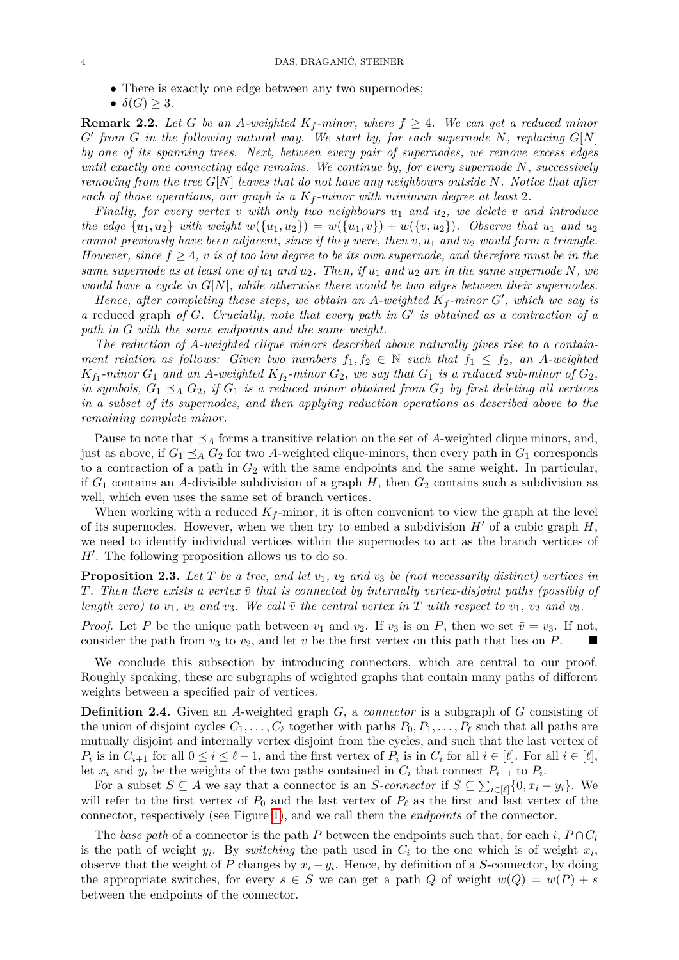• There is exactly one edge between any two supernodes;

 $\bullet$   $\delta(G) \geq 3$ .

<span id="page-3-0"></span>**Remark 2.2.** *Let G be an A*-weighted  $K_f$ -minor, where  $f \geq 4$ . We can get a reduced minor  $G'$  from  $G$  *in the following natural way.* We start by, for each supernode  $N$ , replacing  $G[N]$ *by one of its spanning trees. Next, between every pair of supernodes, we remove excess edges until exactly one connecting edge remains. We continue by, for every supernode N, successively removing from the tree G*[*N*] *leaves that do not have any neighbours outside N. Notice that after each of those operations, our graph is a K<sup>f</sup> -minor with minimum degree at least* 2*.*

*Finally, for every vertex v with only two neighbours u*<sup>1</sup> *and u*2*, we delete v and introduce the edge*  $\{u_1, u_2\}$  *with weight*  $w(\{u_1, u_2\}) = w(\{u_1, v\}) + w(\{v, u_2\})$ . Observe that  $u_1$  and  $u_2$ *cannot previously have been adjacent, since if they were, then v, u*<sup>1</sup> *and u*<sup>2</sup> *would form a triangle. However, since*  $f \geq 4$ *, v is of too low degree to be its own supernode, and therefore must be in the same supernode as at least one of*  $u_1$  *and*  $u_2$ . Then, if  $u_1$  *and*  $u_2$  *are in the same supernode* N, we *would have a cycle in G*[*N*]*, while otherwise there would be two edges between their supernodes.*

*Hence, after completing these steps, we obtain an*  $A$ *-weighted*  $K_f$ -minor  $G'$ , which we say is a reduced graph of *G*. Crucially, note that every path in *G*<sup> $\prime$ </sup> is obtained as a contraction of a *path in G with the same endpoints and the same weight.*

*The reduction of A-weighted clique minors described above naturally gives rise to a containment relation as follows: Given two numbers*  $f_1, f_2 \in \mathbb{N}$  such that  $f_1 \leq f_2$ , an A-weighted  $K_{f_1}$ -minor  $G_1$  and an A-weighted  $K_{f_2}$ -minor  $G_2$ , we say that  $G_1$  is a reduced sub-minor of  $G_2$ , *in symbols,*  $G_1 \preceq_A G_2$ , if  $G_1$  *is a reduced minor obtained from*  $G_2$  *by first deleting all vertices in a subset of its supernodes, and then applying reduction operations as described above to the remaining complete minor.*

Pause to note that  $\preceq_A$  forms a transitive relation on the set of A-weighted clique minors, and, just as above, if  $G_1 \preceq_A G_2$  for two *A*-weighted clique-minors, then every path in  $G_1$  corresponds to a contraction of a path in  $G_2$  with the same endpoints and the same weight. In particular, if  $G_1$  contains an A-divisible subdivision of a graph  $H$ , then  $G_2$  contains such a subdivision as well, which even uses the same set of branch vertices.

When working with a reduced  $K_f$ -minor, it is often convenient to view the graph at the level of its supernodes. However, when we then try to embed a subdivision  $H'$  of a cubic graph  $H$ , we need to identify individual vertices within the supernodes to act as the branch vertices of  $H'$ . The following proposition allows us to do so.

**Proposition 2.3.** *Let T be a tree, and let v*1*, v*<sup>2</sup> *and v*<sup>3</sup> *be (not necessarily distinct) vertices in T*. Then there exists a vertex  $\bar{v}$  that is connected by internally vertex-disjoint paths (possibly of *length zero)* to  $v_1$ ,  $v_2$  *and*  $v_3$ *. We call*  $\bar{v}$  *the central vertex in*  $T$  *with respect to*  $v_1$ *,*  $v_2$  *and*  $v_3$ *.* 

*Proof.* Let *P* be the unique path between  $v_1$  and  $v_2$ . If  $v_3$  is on *P*, then we set  $\bar{v} = v_3$ . If not, consider the path from  $v_3$  to  $v_2$ , and let  $\bar{v}$  be the first vertex on this path that lies on *P*.

We conclude this subsection by introducing connectors, which are central to our proof. Roughly speaking, these are subgraphs of weighted graphs that contain many paths of different weights between a specified pair of vertices.

**Definition 2.4.** Given an *A*-weighted graph *G*, a *connector* is a subgraph of *G* consisting of the union of disjoint cycles  $C_1, \ldots, C_\ell$  together with paths  $P_0, P_1, \ldots, P_\ell$  such that all paths are mutually disjoint and internally vertex disjoint from the cycles, and such that the last vertex of *P*<sup>*i*</sup> is in  $C_{i+1}$  for all  $0 \le i \le \ell - 1$ , and the first vertex of  $P_i$  is in  $C_i$  for all  $i \in [\ell]$ . For all  $i \in [\ell]$ , let  $x_i$  and  $y_i$  be the weights of the two paths contained in  $C_i$  that connect  $P_{i-1}$  to  $P_i$ .

For a subset  $S \subseteq A$  we say that a connector is an *S-connector* if  $S \subseteq \sum_{i \in [\ell]} \{0, x_i - y_i\}$ . We will refer to the first vertex of  $P_0$  and the last vertex of  $P_\ell$  as the first and last vertex of the connector, respectively (see Figure [1\)](#page-4-0), and we call them the *endpoints* of the connector.

The *base path* of a connector is the path *P* between the endpoints such that, for each *i*,  $P \cap C_i$ is the path of weight  $y_i$ . By *switching* the path used in  $C_i$  to the one which is of weight  $x_i$ , observe that the weight of *P* changes by  $x_i - y_i$ . Hence, by definition of a *S*-connector, by doing the appropriate switches, for every  $s \in S$  we can get a path *Q* of weight  $w(Q) = w(P) + s$ between the endpoints of the connector.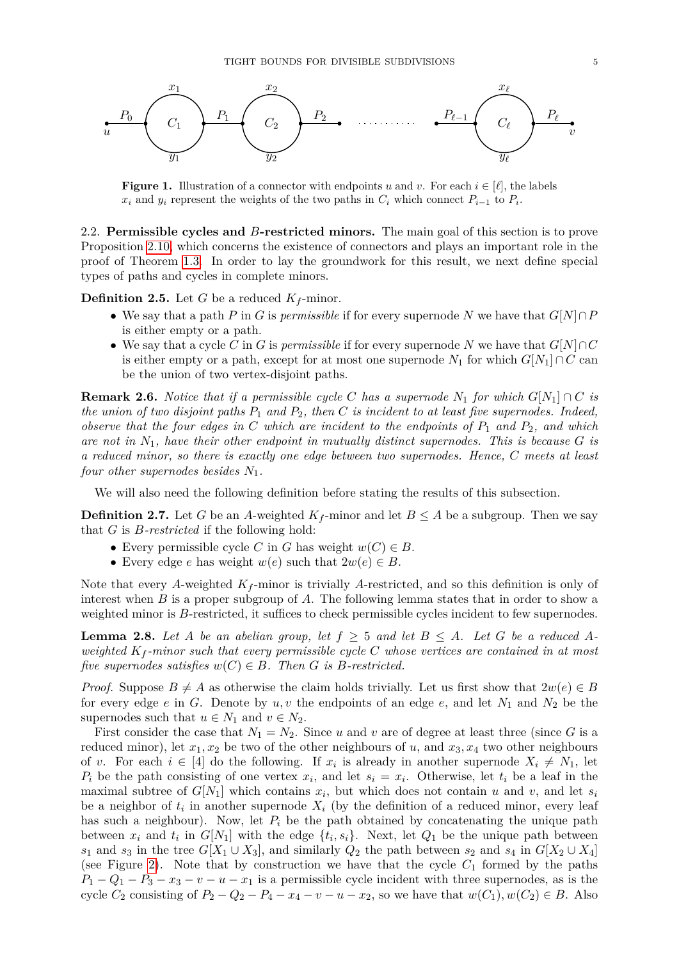<span id="page-4-0"></span>

**Figure 1.** Illustration of a connector with endpoints *u* and *v*. For each  $i \in [\ell]$ , the labels  $x_i$  and  $y_i$  represent the weights of the two paths in  $C_i$  which connect  $P_{i-1}$  to  $P_i$ .

2.2. **Permissible cycles and** *B***-restricted minors.** The main goal of this section is to prove Proposition [2.10,](#page-6-0) which concerns the existence of connectors and plays an important role in the proof of Theorem [1.3.](#page-2-0) In order to lay the groundwork for this result, we next define special types of paths and cycles in complete minors.

**Definition 2.5.** Let *G* be a reduced  $K_f$ -minor.

- We say that a path *P* in *G* is *permissible* if for every supernode *N* we have that *G*[*N*]∩*P* is either empty or a path.
- We say that a cycle *C* in *G* is *permissible* if for every supernode *N* we have that *G*[*N*]∩*C* is either empty or a path, except for at most one supernode  $N_1$  for which  $G[N_1] \cap C$  can be the union of two vertex-disjoint paths.

<span id="page-4-1"></span>**Remark 2.6.** *Notice that if a permissible cycle C has a supernode*  $N_1$  *for which*  $G[N_1] \cap C$  *is the union of two disjoint paths P*<sup>1</sup> *and P*2*, then C is incident to at least five supernodes. Indeed, observe that the four edges in C which are incident to the endpoints of P*<sup>1</sup> *and P*2*, and which are not in N*1*, have their other endpoint in mutually distinct supernodes. This is because G is a reduced minor, so there is exactly one edge between two supernodes. Hence, C meets at least four other supernodes besides N*1*.*

We will also need the following definition before stating the results of this subsection.

**Definition 2.7.** Let *G* be an *A*-weighted  $K_f$ -minor and let  $B \leq A$  be a subgroup. Then we say that *G* is *B-restricted* if the following hold:

- Every permissible cycle *C* in *G* has weight  $w(C) \in B$ .
- Every edge *e* has weight  $w(e)$  such that  $2w(e) \in B$ .

Note that every A-weighted  $K_f$ -minor is trivially A-restricted, and so this definition is only of interest when *B* is a proper subgroup of *A*. The following lemma states that in order to show a weighted minor is *B*-restricted, it suffices to check permissible cycles incident to few supernodes.

<span id="page-4-2"></span>**Lemma 2.8.** Let *A* be an abelian group, let  $f \geq 5$  and let  $B \leq A$ . Let *G* be a reduced *Aweighted K<sup>f</sup> -minor such that every permissible cycle C whose vertices are contained in at most five supernodes satisfies*  $w(C) \in B$ *. Then G is B-restricted.* 

*Proof.* Suppose  $B \neq A$  as otherwise the claim holds trivially. Let us first show that  $2w(e) \in B$ for every edge  $e$  in  $G$ . Denote by  $u, v$  the endpoints of an edge  $e$ , and let  $N_1$  and  $N_2$  be the supernodes such that  $u \in N_1$  and  $v \in N_2$ .

First consider the case that  $N_1 = N_2$ . Since *u* and *v* are of degree at least three (since *G* is a reduced minor), let  $x_1, x_2$  be two of the other neighbours of *u*, and  $x_3, x_4$  two other neighbours of *v*. For each  $i \in [4]$  do the following. If  $x_i$  is already in another supernode  $X_i \neq N_1$ , let  $P_i$  be the path consisting of one vertex  $x_i$ , and let  $s_i = x_i$ . Otherwise, let  $t_i$  be a leaf in the maximal subtree of  $G[N_1]$  which contains  $x_i$ , but which does not contain  $u$  and  $v$ , and let  $s_i$ be a neighbor of  $t_i$  in another supernode  $X_i$  (by the definition of a reduced minor, every leaf has such a neighbour). Now, let  $P_i$  be the path obtained by concatenating the unique path between  $x_i$  and  $t_i$  in  $G[N_1]$  with the edge  $\{t_i, s_i\}$ . Next, let  $Q_1$  be the unique path between *s*<sub>1</sub> and *s*<sub>3</sub> in the tree  $G[X_1 \cup X_3]$ , and similarly  $Q_2$  the path between *s*<sub>2</sub> and *s*<sub>4</sub> in  $G[X_2 \cup X_4]$ (see Figure [2\)](#page-5-0). Note that by construction we have that the cycle  $C_1$  formed by the paths  $P_1 - Q_1 - P_3 - x_3 - v - u - x_1$  is a permissible cycle incident with three supernodes, as is the cycle  $C_2$  consisting of  $P_2 - Q_2 - P_4 - x_4 - v - u - x_2$ , so we have that  $w(C_1), w(C_2) \in B$ . Also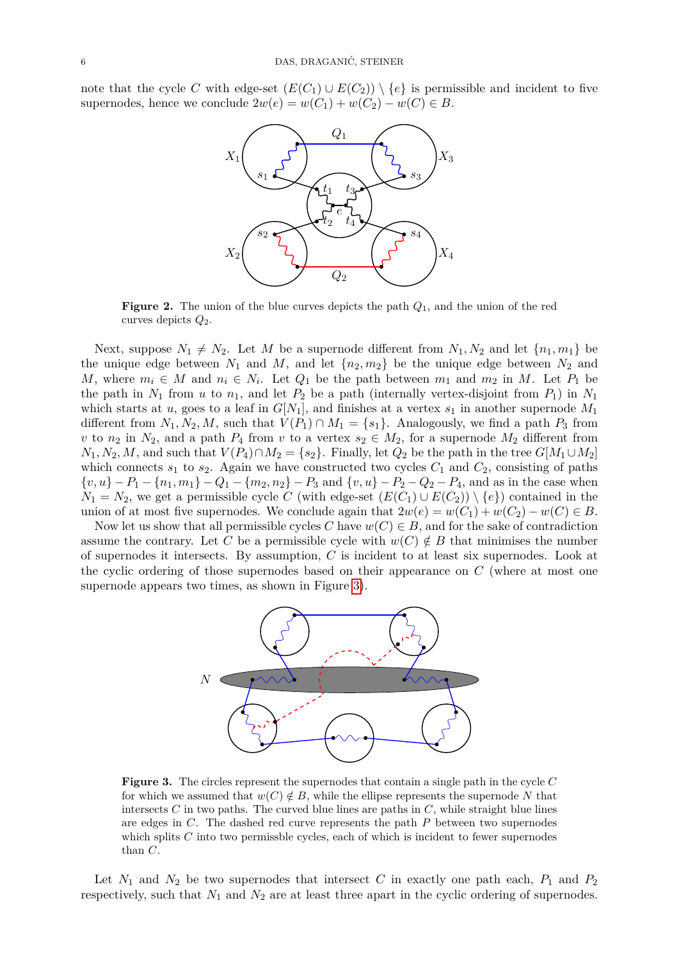<span id="page-5-0"></span>note that the cycle *C* with edge-set  $(E(C_1) \cup E(C_2)) \setminus \{e\}$  is permissible and incident to five supernodes, hence we conclude  $2w(e) = w(C_1) + w(C_2) - w(C) \in B$ .



**Figure 2.** The union of the blue curves depicts the path *Q*1, and the union of the red curves depicts  $Q_2$ .

Next, suppose  $N_1 \neq N_2$ . Let *M* be a supernode different from  $N_1, N_2$  and let  $\{n_1, m_1\}$  be the unique edge between  $N_1$  and  $M$ , and let  $\{n_2, m_2\}$  be the unique edge between  $N_2$  and *M*, where  $m_i \in M$  and  $n_i \in N_i$ . Let  $Q_1$  be the path between  $m_1$  and  $m_2$  in *M*. Let  $P_1$  be the path in  $N_1$  from  $u$  to  $n_1$ , and let  $P_2$  be a path (internally vertex-disjoint from  $P_1$ ) in  $N_1$ which starts at *u*, goes to a leaf in  $G[N_1]$ , and finishes at a vertex  $s_1$  in another supernode  $M_1$ different from  $N_1, N_2, M$ , such that  $V(P_1) \cap M_1 = \{s_1\}$ . Analogously, we find a path  $P_3$  from *v* to *n*<sub>2</sub> in *N*<sub>2</sub>, and a path *P*<sub>4</sub> from *v* to a vertex  $s_2 \in M_2$ , for a supernode  $M_2$  different from  $N_1, N_2, M$ , and such that  $V(P_4) \cap M_2 = \{s_2\}$ . Finally, let  $Q_2$  be the path in the tree  $G[M_1 \cup M_2]$ which connects  $s_1$  to  $s_2$ . Again we have constructed two cycles  $C_1$  and  $C_2$ , consisting of paths  $\{v, u\} - P_1 - \{n_1, m_1\} - Q_1 - \{m_2, n_2\} - P_3$  and  $\{v, u\} - P_2 - Q_2 - P_4$ , and as in the case when  $N_1 = N_2$ , we get a permissible cycle *C* (with edge-set  $(E(C_1) \cup E(C_2)) \setminus \{e\}$ ) contained in the union of at most five supernodes. We conclude again that  $2w(e) = w(C_1) + w(C_2) - w(C) \in B$ .

<span id="page-5-1"></span>Now let us show that all permissible cycles *C* have  $w(C) \in B$ , and for the sake of contradiction assume the contrary. Let *C* be a permissible cycle with  $w(C) \notin B$  that minimises the number of supernodes it intersects. By assumption, *C* is incident to at least six supernodes. Look at the cyclic ordering of those supernodes based on their appearance on *C* (where at most one supernode appears two times, as shown in Figure [3\)](#page-5-1).



**Figure 3.** The circles represent the supernodes that contain a single path in the cycle *C* for which we assumed that  $w(C) \notin B$ , while the ellipse represents the supernode N that intersects  $C$  in two paths. The curved blue lines are paths in  $C$ , while straight blue lines are edges in *C*. The dashed red curve represents the path *P* between two supernodes which splits *C* into two permissble cycles, each of which is incident to fewer supernodes than *C*.

Let  $N_1$  and  $N_2$  be two supernodes that intersect  $C$  in exactly one path each,  $P_1$  and  $P_2$ respectively, such that  $N_1$  and  $N_2$  are at least three apart in the cyclic ordering of supernodes.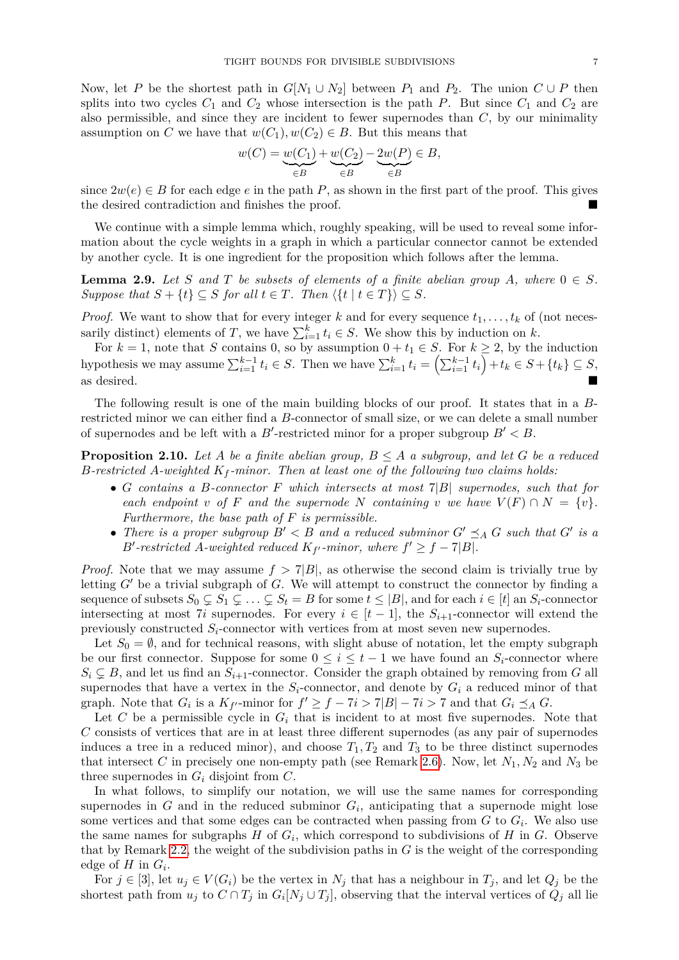Now, let *P* be the shortest path in  $G[N_1 \cup N_2]$  between  $P_1$  and  $P_2$ . The union  $C \cup P$  then splits into two cycles  $C_1$  and  $C_2$  whose intersection is the path  $P$ . But since  $C_1$  and  $C_2$  are also permissible, and since they are incident to fewer supernodes than *C*, by our minimality assumption on *C* we have that  $w(C_1), w(C_2) \in B$ . But this means that

$$
w(C) = \underbrace{w(C_1)}_{\in B} + \underbrace{w(C_2)}_{\in B} - \underbrace{2w(P)}_{\in B} \in B,
$$

since  $2w(e) \in B$  for each edge *e* in the path *P*, as shown in the first part of the proof. This gives the desired contradiction and finishes the proof.

We continue with a simple lemma which, roughly speaking, will be used to reveal some information about the cycle weights in a graph in which a particular connector cannot be extended by another cycle. It is one ingredient for the proposition which follows after the lemma.

<span id="page-6-1"></span>**Lemma 2.9.** *Let S and T be subsets of elements of a finite abelian group A, where*  $0 \in S$ *. Suppose that*  $S + \{t\} \subseteq S$  *for all*  $t \in T$ *. Then*  $\langle \{t | t \in T\} \rangle \subseteq S$ *.* 

*Proof.* We want to show that for every integer *k* and for every sequence  $t_1, \ldots, t_k$  of (not necessarily distinct) elements of *T*, we have  $\sum_{i=1}^{k} t_i \in S$ . We show this by induction on *k*.

For  $k = 1$ , note that *S* contains 0, so by assumption  $0 + t_1 \in S$ . For  $k \geq 2$ , by the induction hypothesis we may assume  $\sum_{i=1}^{k-1} t_i \in S$ . Then we have  $\sum_{i=1}^{k} t_i = (\sum_{i=1}^{k-1} t_i) + t_k \in S + \{t_k\} \subseteq S$ , as desired.

The following result is one of the main building blocks of our proof. It states that in a *B*restricted minor we can either find a *B*-connector of small size, or we can delete a small number of supernodes and be left with a  $B'$ -restricted minor for a proper subgroup  $B' < B$ .

<span id="page-6-0"></span>**Proposition 2.10.** Let A be a finite abelian group,  $B \leq A$  a subgroup, and let G be a reduced *B-restricted A-weighted K<sup>f</sup> -minor. Then at least one of the following two claims holds:*

- *G contains a B-connector F which intersects at most* 7|*B*| *supernodes, such that for each endpoint v of F and the supernode N containing v we have*  $V(F) \cap N = \{v\}$ *. Furthermore, the base path of F is permissible.*
- *There is a proper subgroup*  $B' < B$  *and a reduced subminor*  $G' \preceq_A G$  *such that*  $G'$  *is a B*<sup> $\prime$ </sup>-restricted *A*-weighted reduced  $K_{f'}$ -minor, where  $f' \geq f - 7|B|$ .

*Proof.* Note that we may assume  $f > 7|B|$ , as otherwise the second claim is trivially true by letting  $G'$  be a trivial subgraph of  $G$ . We will attempt to construct the connector by finding a sequence of subsets  $S_0 \subsetneq S_1 \subsetneq \ldots \subsetneq S_t = B$  for some  $t \leq |B|$ , and for each  $i \in [t]$  an  $S_i$ -connector intersecting at most 7*i* supernodes. For every  $i \in [t-1]$ , the  $S_{i+1}$ -connector will extend the previously constructed  $S_i$ -connector with vertices from at most seven new supernodes.

Let  $S_0 = \emptyset$ , and for technical reasons, with slight abuse of notation, let the empty subgraph be our first connector. Suppose for some  $0 \leq i \leq t-1$  we have found an  $S_i$ -connector where  $S_i \subsetneq B$ , and let us find an  $S_{i+1}$ -connector. Consider the graph obtained by removing from *G* all supernodes that have a vertex in the  $S_i$ -connector, and denote by  $G_i$  a reduced minor of that graph. Note that  $G_i$  is a  $K_{f'}$ -minor for  $f' \ge f - 7i > 7|B| - 7i > 7$  and that  $G_i \preceq_A G$ .

Let *C* be a permissible cycle in  $G_i$  that is incident to at most five supernodes. Note that *C* consists of vertices that are in at least three different supernodes (as any pair of supernodes induces a tree in a reduced minor), and choose  $T_1, T_2$  and  $T_3$  to be three distinct supernodes that intersect *C* in precisely one non-empty path (see Remark [2.6\)](#page-4-1). Now, let  $N_1, N_2$  and  $N_3$  be three supernodes in *G<sup>i</sup>* disjoint from *C*.

In what follows, to simplify our notation, we will use the same names for corresponding supernodes in  $G$  and in the reduced subminor  $G_i$ , anticipating that a supernode might lose some vertices and that some edges can be contracted when passing from *G* to *G<sup>i</sup>* . We also use the same names for subgraphs  $H$  of  $G_i$ , which correspond to subdivisions of  $H$  in  $G$ . Observe that by Remark [2.2,](#page-3-0) the weight of the subdivision paths in *G* is the weight of the corresponding edge of  $H$  in  $G_i$ .

For  $j \in [3]$ , let  $u_j \in V(G_i)$  be the vertex in  $N_j$  that has a neighbour in  $T_j$ , and let  $Q_j$  be the shortest path from  $u_j$  to  $C \cap T_j$  in  $G_i[N_j \cup T_j]$ , observing that the interval vertices of  $Q_j$  all lie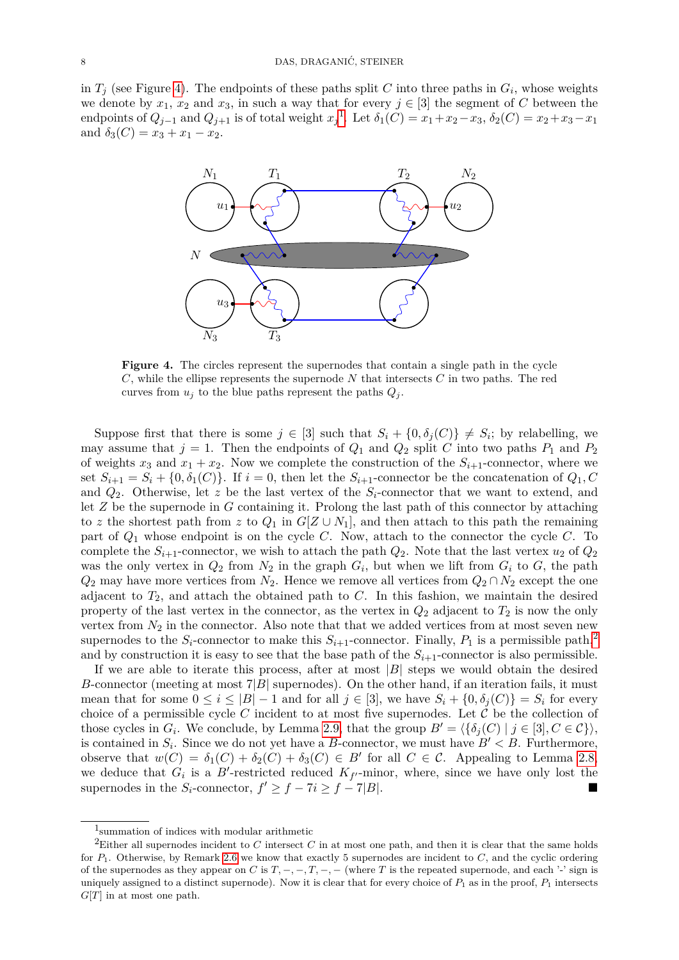<span id="page-7-0"></span>in  $T_j$  (see Figure [4\)](#page-7-0). The endpoints of these paths split  $C$  into three paths in  $G_i$ , whose weights we denote by  $x_1, x_2$  and  $x_3$ , in such a way that for every  $j \in [3]$  the segment of *C* between the endpoints of  $Q_{j-1}$  $Q_{j-1}$  $Q_{j-1}$  and  $Q_{j+1}$  is of total weight  $x_j$ <sup>1</sup>. Let  $\delta_1(C) = x_1 + x_2 - x_3$ ,  $\delta_2(C) = x_2 + x_3 - x_1$ and  $\delta_3(C) = x_3 + x_1 - x_2$ .



**Figure 4.** The circles represent the supernodes that contain a single path in the cycle *C*, while the ellipse represents the supernode *N* that intersects *C* in two paths. The red curves from  $u_j$  to the blue paths represent the paths  $Q_j$ .

Suppose first that there is some  $j \in [3]$  such that  $S_i + \{0, \delta_j(C)\} \neq S_i$ ; by relabelling, we may assume that  $j = 1$ . Then the endpoints of  $Q_1$  and  $Q_2$  split *C* into two paths  $P_1$  and  $P_2$ of weights  $x_3$  and  $x_1 + x_2$ . Now we complete the construction of the  $S_{i+1}$ -connector, where we set  $S_{i+1} = S_i + \{0, \delta_1(C)\}\$ . If  $i = 0$ , then let the  $S_{i+1}$ -connector be the concatenation of  $Q_1, C_2$ and  $Q_2$ . Otherwise, let z be the last vertex of the  $S_i$ -connector that we want to extend, and let *Z* be the supernode in *G* containing it. Prolong the last path of this connector by attaching to *z* the shortest path from *z* to  $Q_1$  in  $G[Z \cup N_1]$ , and then attach to this path the remaining part of *Q*<sup>1</sup> whose endpoint is on the cycle *C*. Now, attach to the connector the cycle *C*. To complete the  $S_{i+1}$ -connector, we wish to attach the path  $Q_2$ . Note that the last vertex  $u_2$  of  $Q_2$ was the only vertex in  $Q_2$  from  $N_2$  in the graph  $G_i$ , but when we lift from  $G_i$  to  $G$ , the path  $Q_2$  may have more vertices from  $N_2$ . Hence we remove all vertices from  $Q_2 \cap N_2$  except the one adjacent to  $T_2$ , and attach the obtained path to  $C$ . In this fashion, we maintain the desired property of the last vertex in the connector, as the vertex in *Q*<sup>2</sup> adjacent to *T*<sup>2</sup> is now the only vertex from  $N_2$  in the connector. Also note that that we added vertices from at most seven new supernodes to the  $S_i$ -connector to make this  $S_{i+1}$ -connector. Finally,  $P_1$  is a permissible path,<sup>[2](#page-7-2)</sup> and by construction it is easy to see that the base path of the  $S_{i+1}$ -connector is also permissible.

If we are able to iterate this process, after at most  $|B|$  steps we would obtain the desired *B*-connector (meeting at most  $7|B|$  supernodes). On the other hand, if an iteration fails, it must mean that for some  $0 \leq i \leq |B|-1$  and for all  $j \in [3]$ , we have  $S_i + \{0, \delta_i(C)\} = S_i$  for every choice of a permissible cycle  $C$  incident to at most five supernodes. Let  $C$  be the collection of those cycles in  $G_i$ . We conclude, by Lemma [2.9,](#page-6-1) that the group  $B' = \langle {\delta_j(C) | j \in [3], C \in C} \rangle$ , is contained in  $S_i$ . Since we do not yet have a *B*-connector, we must have  $B' < B$ . Furthermore, observe that  $w(C) = \delta_1(C) + \delta_2(C) + \delta_3(C) \in B'$  for all  $C \in \mathcal{C}$ . Appealing to Lemma [2.8,](#page-4-2) we deduce that  $G_i$  is a  $B'$ -restricted reduced  $K_{f'}$ -minor, where, since we have only lost the supernodes in the  $S_i$ -connector,  $f' \ge f - 7i \ge f - 7|B|$ .

<span id="page-7-2"></span><span id="page-7-1"></span><sup>1</sup> summation of indices with modular arithmetic

<sup>2</sup>Either all supernodes incident to *C* intersect *C* in at most one path, and then it is clear that the same holds for *P*1. Otherwise, by Remark [2.6](#page-4-1) we know that exactly 5 supernodes are incident to *C*, and the cyclic ordering of the supernodes as they appear on *C* is  $T, -, -, T, -, -$  (where *T* is the repeated supernode, and each '-' sign is uniquely assigned to a distinct supernode). Now it is clear that for every choice of  $P_1$  as in the proof,  $P_1$  intersects *G*[*T*] in at most one path.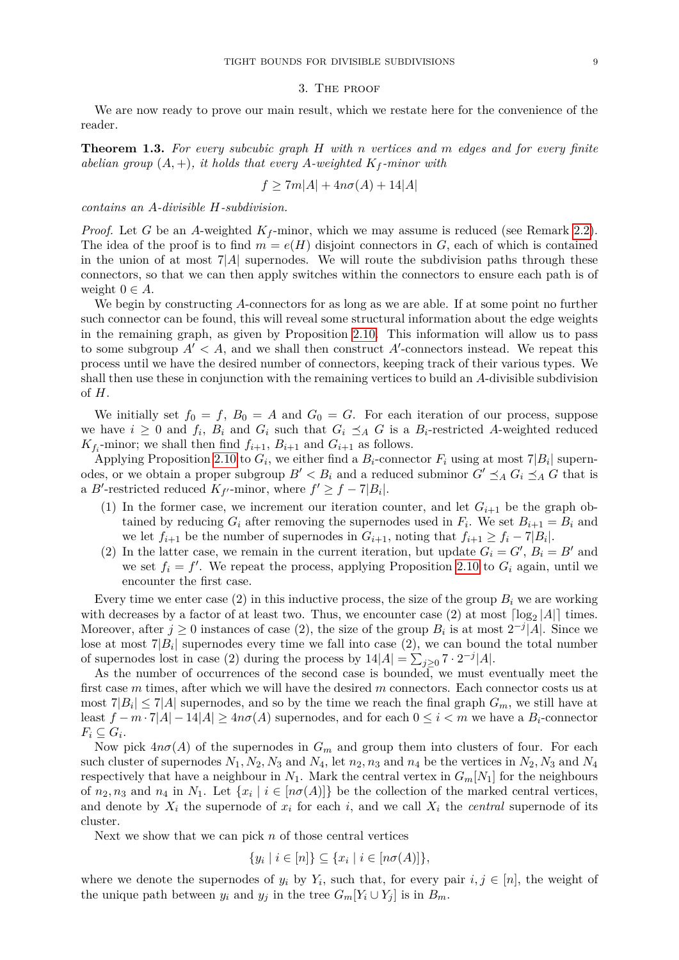#### 3. The proof

<span id="page-8-0"></span>We are now ready to prove our main result, which we restate here for the convenience of the reader.

**Theorem 1.3.** *For every subcubic graph H with n vertices and m edges and for every finite abelian group*  $(A, +)$ *, it holds that every A-weighted*  $K_f$ *-minor with* 

$$
f \ge 7m|A| + 4n\sigma(A) + 14|A|
$$

*contains an A-divisible H-subdivision.*

*Proof.* Let *G* be an *A*-weighted  $K_f$ -minor, which we may assume is reduced (see Remark [2.2\)](#page-3-0). The idea of the proof is to find  $m = e(H)$  disjoint connectors in  $G$ , each of which is contained in the union of at most  $7|A|$  supernodes. We will route the subdivision paths through these connectors, so that we can then apply switches within the connectors to ensure each path is of weight  $0 \in A$ .

We begin by constructing *A*-connectors for as long as we are able. If at some point no further such connector can be found, this will reveal some structural information about the edge weights in the remaining graph, as given by Proposition [2.10.](#page-6-0) This information will allow us to pass to some subgroup  $A' < A$ , and we shall then construct  $A'$ -connectors instead. We repeat this process until we have the desired number of connectors, keeping track of their various types. We shall then use these in conjunction with the remaining vertices to build an *A*-divisible subdivision of *H*.

We initially set  $f_0 = f$ ,  $B_0 = A$  and  $G_0 = G$ . For each iteration of our process, suppose we have  $i \geq 0$  and  $f_i$ ,  $B_i$  and  $G_i$  such that  $G_i \preceq_A G$  is a  $B_i$ -restricted A-weighted reduced  $K_{f_i}$ -minor; we shall then find  $f_{i+1}$ ,  $B_{i+1}$  and  $G_{i+1}$  as follows.

Applying Proposition [2.10](#page-6-0) to  $G_i$ , we either find a  $B_i$ -connector  $F_i$  using at most  $7|B_i|$  supernodes, or we obtain a proper subgroup  $B' < B_i$  and a reduced subminor  $G' \preceq_A G_i \preceq_A G$  that is a *B*'-restricted reduced  $K_f$ -minor, where  $f' \ge f - 7|B_i|$ .

- (1) In the former case, we increment our iteration counter, and let  $G_{i+1}$  be the graph obtained by reducing  $G_i$  after removing the supernodes used in  $F_i$ . We set  $B_{i+1} = B_i$  and we let  $f_{i+1}$  be the number of supernodes in  $G_{i+1}$ , noting that  $f_{i+1} \ge f_i - 7|B_i|$ .
- (2) In the latter case, we remain in the current iteration, but update  $G_i = G'$ ,  $B_i = B'$  and we set  $f_i = f'$ . We repeat the process, applying Proposition [2.10](#page-6-0) to  $G_i$  again, until we encounter the first case.

Every time we enter case  $(2)$  in this inductive process, the size of the group  $B_i$  we are working with decreases by a factor of at least two. Thus, we encounter case (2) at most  $\lceil \log_2|A| \rceil$  times. Moreover, after  $j \geq 0$  instances of case (2), the size of the group  $B_i$  is at most  $2^{-j} |A|$ . Since we lose at most  $7|B_i|$  supernodes every time we fall into case  $(2)$ , we can bound the total number of supernodes lost in case (2) during the process by  $14|A| = \sum_{j\geq 0} 7 \cdot 2^{-j}|A|$ .

As the number of occurrences of the second case is bounded, we must eventually meet the first case *m* times, after which we will have the desired *m* connectors. Each connector costs us at most  $7|B_i| \leq 7|A|$  supernodes, and so by the time we reach the final graph  $G_m$ , we still have at least *f* − *m* · 7|*A*| − 14|*A*| ≥ 4*nσ*(*A*) supernodes, and for each 0 ≤ *i < m* we have a *Bi*-connector  $F_i \subseteq G_i$ .

Now pick  $4n\sigma(A)$  of the supernodes in  $G_m$  and group them into clusters of four. For each such cluster of supernodes  $N_1, N_2, N_3$  and  $N_4$ , let  $n_2, n_3$  and  $n_4$  be the vertices in  $N_2, N_3$  and  $N_4$ respectively that have a neighbour in  $N_1$ . Mark the central vertex in  $G_m[N_1]$  for the neighbours of  $n_2, n_3$  and  $n_4$  in  $N_1$ . Let  $\{x_i \mid i \in [n\sigma(A)]\}$  be the collection of the marked central vertices, and denote by  $X_i$  the supernode of  $x_i$  for each  $i$ , and we call  $X_i$  the *central* supernode of its cluster.

Next we show that we can pick *n* of those central vertices

$$
\{y_i \mid i \in [n]\} \subseteq \{x_i \mid i \in [n\sigma(A)]\},\
$$

where we denote the supernodes of  $y_i$  by  $Y_i$ , such that, for every pair  $i, j \in [n]$ , the weight of the unique path between  $y_i$  and  $y_j$  in the tree  $G_m[Y_i \cup Y_j]$  is in  $B_m$ .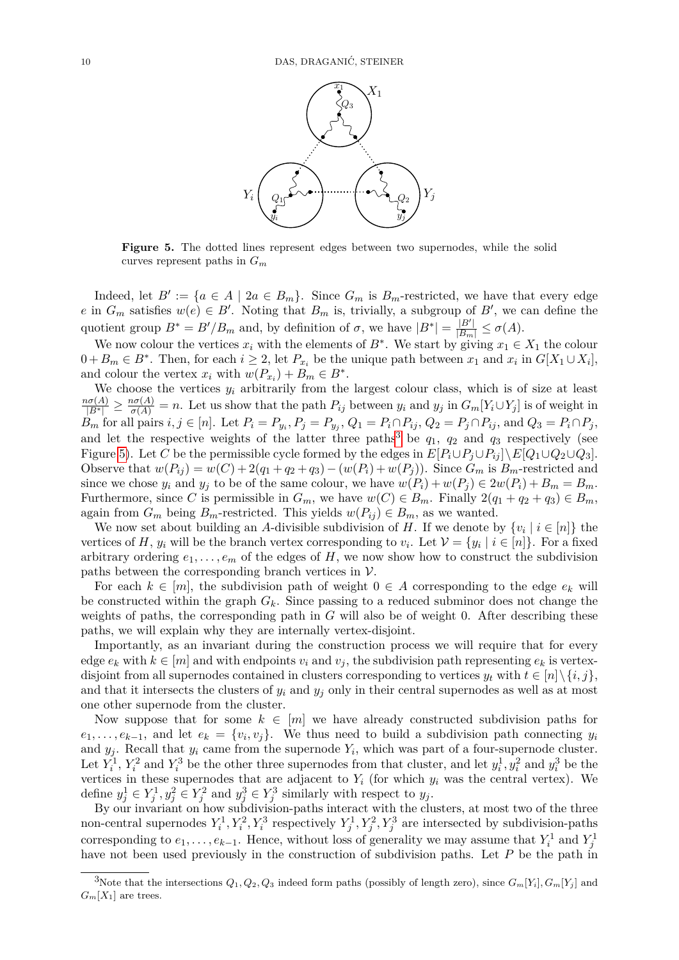<span id="page-9-1"></span>

**Figure 5.** The dotted lines represent edges between two supernodes, while the solid curves represent paths in *G<sup>m</sup>*

Indeed, let  $B' := \{a \in A \mid 2a \in B_m\}$ . Since  $G_m$  is  $B_m$ -restricted, we have that every edge *e* in  $G_m$  satisfies  $w(e) \in B'$ . Noting that  $B_m$  is, trivially, a subgroup of  $B'$ , we can define the quotient group  $B^* = B'/B_m$  and, by definition of  $\sigma$ , we have  $|B^*| = \frac{|B'|}{|B_m|} \leq \sigma(A)$ .

We now colour the vertices  $x_i$  with the elements of  $B^*$ . We start by giving  $x_1 \in X_1$  the colour  $0 + B_m \in B^*$ . Then, for each  $i \geq 2$ , let  $P_{x_i}$  be the unique path between  $x_1$  and  $x_i$  in  $G[X_1 \cup X_i]$ , and colour the vertex  $x_i$  with  $w(P_{x_i}) + B_m \in B^*$ .

We choose the vertices  $y_i$  arbitrarily from the largest colour class, which is of size at least  $\frac{n\sigma(A)}{|B^*|} \geq \frac{n\sigma(A)}{\sigma(A)} = n.$  Let us show that the path  $P_{ij}$  between  $y_i$  and  $y_j$  in  $G_m[Y_i \cup Y_j]$  is of weight in  $B_m$  for all pairs  $i, j \in [n]$ . Let  $P_i = P_{y_i}, P_j = P_{y_j}, Q_1 = P_i \cap P_{ij}, Q_2 = P_j \cap P_{ij}$ , and  $Q_3 = P_i \cap P_j$ , and let the respective weights of the latter three paths<sup>[3](#page-9-0)</sup> be  $q_1$ ,  $q_2$  and  $q_3$  respectively (see Figure [5\)](#page-9-1). Let *C* be the permissible cycle formed by the edges in  $E[P_i \cup P_j \cup P_{ij}] \setminus E[Q_1 \cup Q_2 \cup Q_3]$ . Observe that  $w(P_{ij}) = w(C) + 2(q_1 + q_2 + q_3) - (w(P_i) + w(P_j))$ . Since  $G_m$  is  $B_m$ -restricted and since we chose  $y_i$  and  $y_j$  to be of the same colour, we have  $w(P_i) + w(P_j) \in 2w(P_i) + B_m = B_m$ . Furthermore, since *C* is permissible in  $G_m$ , we have  $w(C) \in B_m$ . Finally  $2(q_1 + q_2 + q_3) \in B_m$ , again from  $G_m$  being  $B_m$ -restricted. This yields  $w(P_{ij}) \in B_m$ , as we wanted.

We now set about building an *A*-divisible subdivision of *H*. If we denote by  $\{v_i \mid i \in [n]\}$  the vertices of *H*,  $y_i$  will be the branch vertex corresponding to  $v_i$ . Let  $\mathcal{V} = \{y_i \mid i \in [n]\}$ . For a fixed arbitrary ordering  $e_1, \ldots, e_m$  of the edges of *H*, we now show how to construct the subdivision paths between the corresponding branch vertices in  $\mathcal V$ .

For each  $k \in [m]$ , the subdivision path of weight  $0 \in A$  corresponding to the edge  $e_k$  will be constructed within the graph *Gk*. Since passing to a reduced subminor does not change the weights of paths, the corresponding path in *G* will also be of weight 0. After describing these paths, we will explain why they are internally vertex-disjoint.

Importantly, as an invariant during the construction process we will require that for every edge  $e_k$  with  $k \in [m]$  and with endpoints  $v_i$  and  $v_j$ , the subdivision path representing  $e_k$  is vertexdisjoint from all supernodes contained in clusters corresponding to vertices  $y_t$  with  $t \in [n] \setminus \{i, j\}$ , and that it intersects the clusters of  $y_i$  and  $y_j$  only in their central supernodes as well as at most one other supernode from the cluster.

Now suppose that for some  $k \in [m]$  we have already constructed subdivision paths for  $e_1, \ldots, e_{k-1}$ , and let  $e_k = \{v_i, v_j\}$ . We thus need to build a subdivision path connecting  $y_i$ and  $y_j$ . Recall that  $y_i$  came from the supernode  $Y_i$ , which was part of a four-supernode cluster. Let  $Y_i^1$ ,  $Y_i^2$  and  $Y_i^3$  be the other three supernodes from that cluster, and let  $y_i^1, y_i^2$  and  $y_i^3$  be the vertices in these supernodes that are adjacent to  $Y_i$  (for which  $y_i$  was the central vertex). We define  $y_j^1 \in Y_j^1, y_j^2 \in Y_j^2$  and  $y_j^3 \in Y_j^3$  similarly with respect to  $y_j$ .

By our invariant on how subdivision-paths interact with the clusters, at most two of the three non-central supernodes  $Y_i^1, Y_i^2, Y_i^3$  respectively  $Y_j^1, Y_j^2, Y_j^3$  are intersected by subdivision-paths corresponding to  $e_1, \ldots, e_{k-1}$ . Hence, without loss of generality we may assume that  $Y_i^1$  and  $Y_j^1$ have not been used previously in the construction of subdivision paths. Let *P* be the path in

<span id="page-9-0"></span><sup>&</sup>lt;sup>3</sup>Note that the intersections  $Q_1, Q_2, Q_3$  indeed form paths (possibly of length zero), since  $G_m[Y_i], G_m[Y_j]$  and  $G_m[X_1]$  are trees.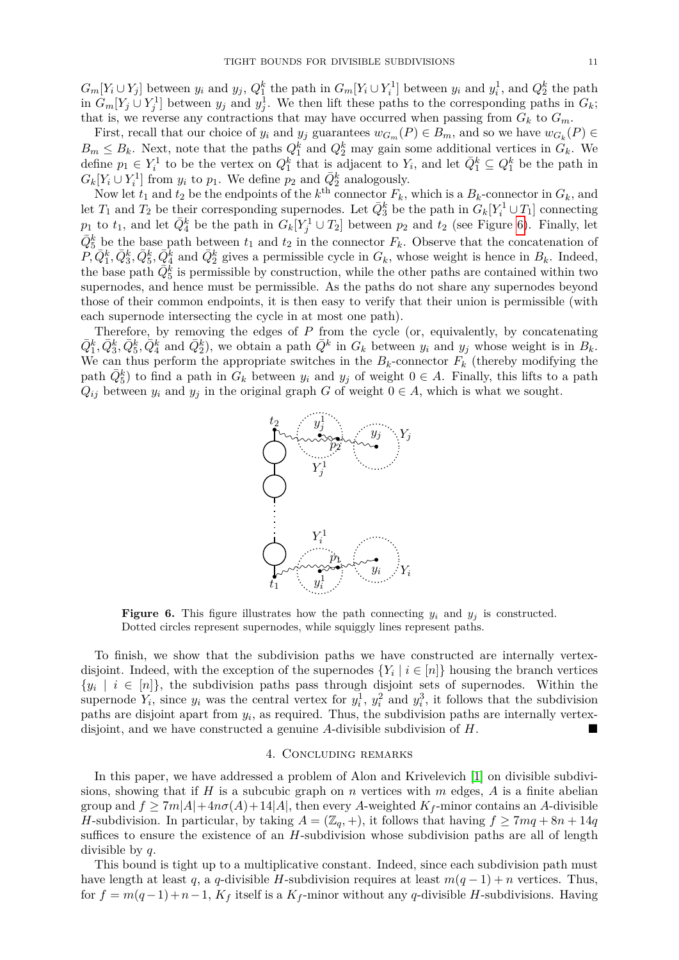$G_m[Y_i \cup Y_j]$  between  $y_i$  and  $y_j$ ,  $Q_1^k$  the path in  $G_m[Y_i \cup Y_i]$  between  $y_i$  and  $y_i^1$ , and  $Q_2^k$  the path in  $G_m[Y_j \cup Y_j^1]$  between  $y_j$  and  $y_j^1$ . We then lift these paths to the corresponding paths in  $G_k$ ; that is, we reverse any contractions that may have occurred when passing from  $G_k$  to  $G_m$ .

First, recall that our choice of  $y_i$  and  $y_j$  guarantees  $w_{G_m}(P) \in B_m$ , and so we have  $w_{G_k}(P) \in$  $B_m \leq B_k$ . Next, note that the paths  $Q_1^k$  and  $Q_2^k$  may gain some additional vertices in  $G_k$ . We define  $p_1 \in Y_i^1$  to be the vertex on  $Q_1^k$  that is adjacent to  $Y_i$ , and let  $\overline{Q}_1^k \subseteq Q_1^k$  be the path in  $G_k[Y_i \cup Y_i^1]$  from  $y_i$  to  $p_1$ . We define  $p_2$  and  $\overline{Q}_2^k$  analogously.

Now let  $t_1$  and  $t_2$  be the endpoints of the  $k^{\text{th}}$  connector  $F_k$ , which is a  $B_k$ -connector in  $G_k$ , and let  $T_1$  and  $T_2$  be their corresponding supernodes. Let  $\bar{Q}_3^k$  be the path in  $G_k[Y_i^1 \cup T_1]$  connecting *p*<sub>1</sub> to *t*<sub>1</sub>, and let  $\bar{Q}_4^k$  be the path in  $G_k[Y_j^1 \cup T_2]$  between *p*<sub>2</sub> and *t*<sub>2</sub> (see Figure [6\)](#page-10-1). Finally, let  $\bar{Q}_5^k$  be the base path between  $t_1$  and  $t_2$  in the connector  $F_k$ . Observe that the concatenation of  $P,\bar{Q}_1^k,\bar{Q}_3^k,\bar{Q}_5^k,\bar{Q}_4^k$  and  $\bar{Q}_2^k$  gives a permissible cycle in  $G_k$ , whose weight is hence in  $B_k$ . Indeed, the base path  $\overline{Q_5^k}$  is permissible by construction, while the other paths are contained within two supernodes, and hence must be permissible. As the paths do not share any supernodes beyond those of their common endpoints, it is then easy to verify that their union is permissible (with each supernode intersecting the cycle in at most one path).

<span id="page-10-1"></span>Therefore, by removing the edges of *P* from the cycle (or, equivalently, by concatenating  $\bar{Q}_1^k, \bar{Q}_3^k, \bar{Q}_5^k, \bar{Q}_4^k$  and  $\bar{Q}_2^k$ ), we obtain a path  $\bar{Q}^k$  in  $G_k$  between  $y_i$  and  $y_j$  whose weight is in  $B_k$ . We can thus perform the appropriate switches in the  $B_k$ -connector  $F_k$  (thereby modifying the path  $\overline{Q}_5^k$  to find a path in  $G_k$  between  $y_i$  and  $y_j$  of weight  $0 \in A$ . Finally, this lifts to a path  $Q_{ij}$  between  $y_i$  and  $y_j$  in the original graph *G* of weight  $0 \in A$ , which is what we sought.



**Figure 6.** This figure illustrates how the path connecting  $y_i$  and  $y_j$  is constructed. Dotted circles represent supernodes, while squiggly lines represent paths.

To finish, we show that the subdivision paths we have constructed are internally vertexdisjoint. Indeed, with the exception of the supernodes  ${Y_i \mid i \in [n]}$  housing the branch vertices  $\{y_i \mid i \in [n]\},\$  the subdivision paths pass through disjoint sets of supernodes. Within the supernode  $Y_i$ , since  $y_i$  was the central vertex for  $y_i^1$ ,  $y_i^2$  and  $y_i^3$ , it follows that the subdivision paths are disjoint apart from  $y_i$ , as required. Thus, the subdivision paths are internally vertexdisjoint, and we have constructed a genuine *A*-divisible subdivision of *H*.

#### 4. Concluding remarks

<span id="page-10-0"></span>In this paper, we have addressed a problem of Alon and Krivelevich [\[1\]](#page-11-1) on divisible subdivisions, showing that if *H* is a subcubic graph on *n* vertices with *m* edges, *A* is a finite abelian group and  $f \geq 7m|A|+4n\sigma(A)+14|A|$ , then every A-weighted  $K_f$ -minor contains an A-divisible *H*-subdivision. In particular, by taking  $A = (\mathbb{Z}_q, +)$ , it follows that having  $f \geq 7mq + 8n + 14q$ suffices to ensure the existence of an *H*-subdivision whose subdivision paths are all of length divisible by *q*.

This bound is tight up to a multiplicative constant. Indeed, since each subdivision path must have length at least *q*, a *q*-divisible *H*-subdivision requires at least  $m(q-1) + n$  vertices. Thus, for  $f = m(q-1) + n-1$ ,  $K_f$  itself is a  $K_f$ -minor without any q-divisible *H*-subdivisions. Having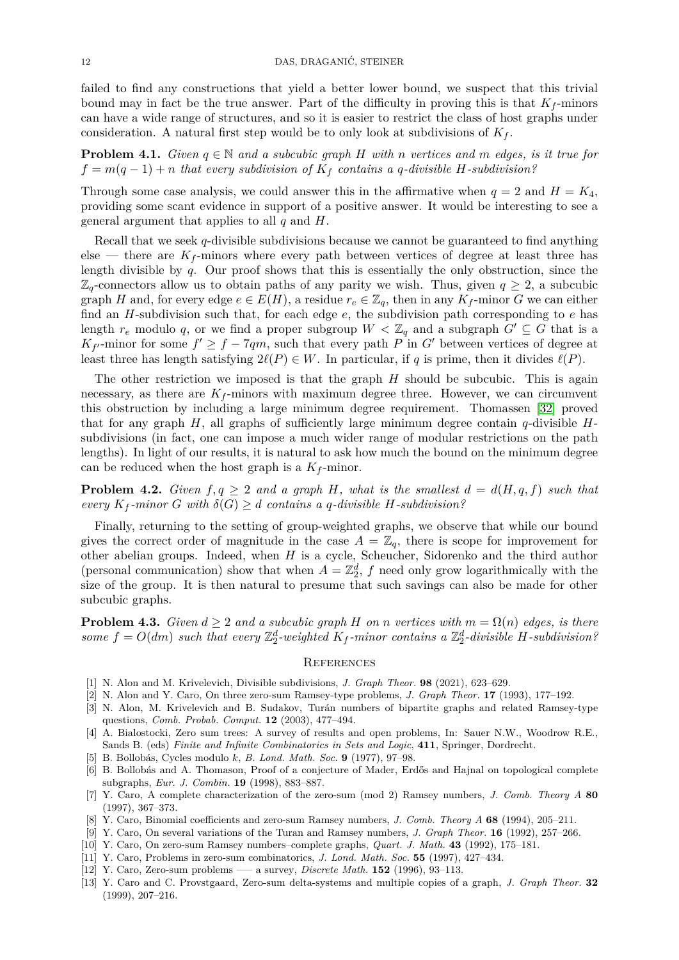failed to find any constructions that yield a better lower bound, we suspect that this trivial bound may in fact be the true answer. Part of the difficulty in proving this is that  $K_f$ -minors can have a wide range of structures, and so it is easier to restrict the class of host graphs under consideration. A natural first step would be to only look at subdivisions of *K<sup>f</sup>* .

**Problem 4.1.** *Given*  $q \in \mathbb{N}$  *and a subcubic graph H with n vertices and m edges, is it true for*  $f = m(q-1) + n$  *that every subdivision of*  $K_f$  *contains a q-divisible H-subdivision?* 

Through some case analysis, we could answer this in the affirmative when  $q = 2$  and  $H = K_4$ , providing some scant evidence in support of a positive answer. It would be interesting to see a general argument that applies to all *q* and *H*.

Recall that we seek *q*-divisible subdivisions because we cannot be guaranteed to find anything else — there are  $K_f$ -minors where every path between vertices of degree at least three has length divisible by *q*. Our proof shows that this is essentially the only obstruction, since the  $\mathbb{Z}_q$ -connectors allow us to obtain paths of any parity we wish. Thus, given  $q \geq 2$ , a subcubic graph *H* and, for every edge  $e \in E(H)$ , a residue  $r_e \in \mathbb{Z}_q$ , then in any  $K_f$ -minor *G* we can either find an *H*-subdivision such that, for each edge *e*, the subdivision path corresponding to *e* has length  $r_e$  modulo q, or we find a proper subgroup  $W < \mathbb{Z}_q$  and a subgraph  $G' \subseteq G$  that is a  $K_{f'}$ -minor for some  $f' \geq f - 7qm$ , such that every path *P* in *G*<sup> $\prime$ </sup> between vertices of degree at least three has length satisfying  $2\ell(P) \in W$ . In particular, if *q* is prime, then it divides  $\ell(P)$ .

The other restriction we imposed is that the graph *H* should be subcubic. This is again necessary, as there are  $K_f$ -minors with maximum degree three. However, we can circumvent this obstruction by including a large minimum degree requirement. Thomassen [\[32\]](#page-12-14) proved that for any graph *H*, all graphs of sufficiently large minimum degree contain *q*-divisible *H*subdivisions (in fact, one can impose a much wider range of modular restrictions on the path lengths). In light of our results, it is natural to ask how much the bound on the minimum degree can be reduced when the host graph is a  $K_f$ -minor.

**Problem 4.2.** *Given*  $f, q \geq 2$  *and a graph H, what is the smallest*  $d = d(H, q, f)$  *such that every*  $K_f$ -minor *G* with  $\delta(G) \geq d$  *contains a q-divisible H*-subdivision?

Finally, returning to the setting of group-weighted graphs, we observe that while our bound gives the correct order of magnitude in the case  $A = \mathbb{Z}_q$ , there is scope for improvement for other abelian groups. Indeed, when *H* is a cycle, Scheucher, Sidorenko and the third author (personal communication) show that when  $A = \mathbb{Z}_2^d$ , f need only grow logarithmically with the size of the group. It is then natural to presume that such savings can also be made for other subcubic graphs.

**Problem 4.3.** *Given*  $d \geq 2$  *and a subcubic graph H on n vertices with*  $m = \Omega(n)$  *edges, is there* some  $f = O(dm)$  such that every  $\mathbb{Z}_2^d$ -weighted  $K_f$ -minor contains a  $\mathbb{Z}_2^d$ -divisible  $H$ -subdivision?

# **REFERENCES**

- <span id="page-11-1"></span>[1] N. Alon and M. Krivelevich, Divisible subdivisions, *J. Graph Theor.* **98** (2021), 623–629.
- <span id="page-11-5"></span>[2] N. Alon and Y. Caro, On three zero-sum Ramsey-type problems, *J. Graph Theor.* **17** (1993), 177–192.
- <span id="page-11-2"></span>[3] N. Alon, M. Krivelevich and B. Sudakov, Turán numbers of bipartite graphs and related Ramsey-type questions, *Comb. Probab. Comput.* **12** (2003), 477–494.
- <span id="page-11-6"></span>[4] A. Bialostocki, Zero sum trees: A survey of results and open problems, In: Sauer N.W., Woodrow R.E., Sands B. (eds) *Finite and Infinite Combinatorics in Sets and Logic*, **411**, Springer, Dordrecht.
- <span id="page-11-3"></span>[5] B. Bollobás, Cycles modulo *k*, *B. Lond. Math. Soc.* **9** (1977), 97–98.
- <span id="page-11-0"></span>[6] B. Bollobás and A. Thomason, Proof of a conjecture of Mader, Erdős and Hajnal on topological complete subgraphs, *Eur. J. Combin.* **19** (1998), 883–887.
- <span id="page-11-7"></span>[7] Y. Caro, A complete characterization of the zero-sum (mod 2) Ramsey numbers, *J. Comb. Theory A* **80** (1997), 367–373.
- <span id="page-11-8"></span>[8] Y. Caro, Binomial coefficients and zero-sum Ramsey numbers, *J. Comb. Theory A* **68** (1994), 205–211.
- <span id="page-11-9"></span>[9] Y. Caro, On several variations of the Turan and Ramsey numbers, *J. Graph Theor.* **16** (1992), 257–266.
- <span id="page-11-10"></span>[10] Y. Caro, On zero-sum Ramsey numbers–complete graphs, *Quart. J. Math.* **43** (1992), 175–181.
- <span id="page-11-11"></span>[11] Y. Caro, Problems in zero-sum combinatorics, *J. Lond. Math. Soc.* **55** (1997), 427–434.
- <span id="page-11-4"></span>[12] Y. Caro, Zero-sum problems —– a survey, *Discrete Math.* **152** (1996), 93–113.
- <span id="page-11-12"></span>[13] Y. Caro and C. Provstgaard, Zero-sum delta-systems and multiple copies of a graph, *J. Graph Theor.* **32** (1999), 207–216.